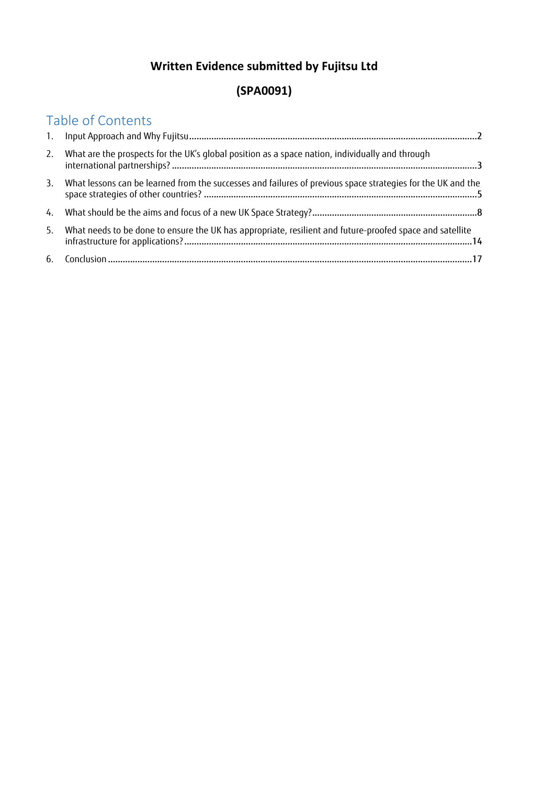## **Written Evidence submitted by Fujitsu Ltd**

# **(SPA0091)**

# Table of Contents

| 2. | What are the prospects for the UK's global position as a space nation, individually and through             |
|----|-------------------------------------------------------------------------------------------------------------|
| 3. | What lessons can be learned from the successes and failures of previous space strategies for the UK and the |
| 4. |                                                                                                             |
| 5. | What needs to be done to ensure the UK has appropriate, resilient and future-proofed space and satellite    |
| 6. |                                                                                                             |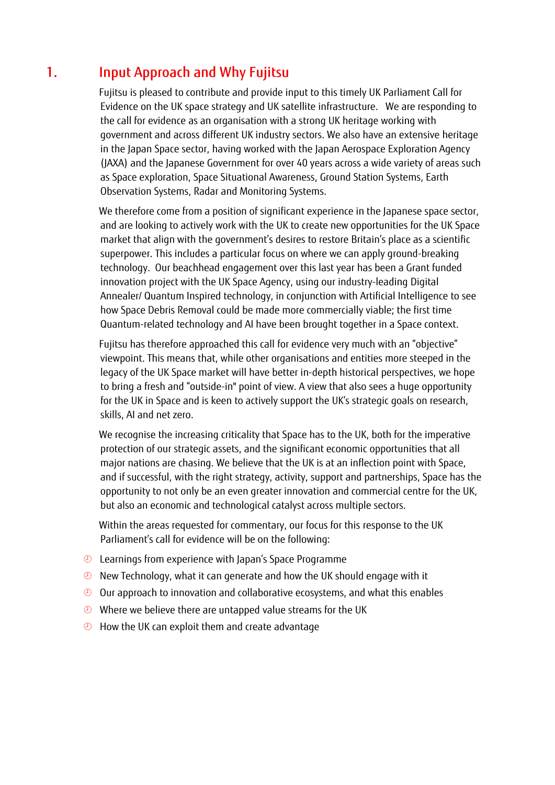# <span id="page-1-0"></span>1. Input Approach and Why Fujitsu

Fujitsu is pleased to contribute and provide input to this timely UK Parliament Call for Evidence on the UK space strategy and UK satellite infrastructure. We are responding to the call for evidence as an organisation with a strong UK heritage working with government and across different UK industry sectors. We also have an extensive heritage in the Japan Space sector, having worked with the Japan Aerospace Exploration Agency (JAXA) and the Japanese Government for over 40 years across a wide variety of areas such as Space exploration, Space Situational Awareness, Ground Station Systems, Earth Observation Systems, Radar and Monitoring Systems.

We therefore come from a position of significant experience in the Japanese space sector, and are looking to actively work with the UK to create new opportunities for the UK Space market that align with the government's desires to restore Britain's place as a scientific superpower. This includes a particular focus on where we can apply ground-breaking technology. Our beachhead engagement over this last year has been a Grant funded innovation project with the UK Space Agency, using our industry-leading Digital Annealer/ Quantum Inspired technology, in conjunction with Artificial Intelligence to see how Space Debris Removal could be made more commercially viable; the first time Quantum-related technology and AI have been brought together in a Space context.

Fujitsu has therefore approached this call for evidence very much with an "objective" viewpoint. This means that, while other organisations and entities more steeped in the legacy of the UK Space market will have better in-depth historical perspectives, we hope to bring a fresh and "outside-in" point of view. A view that also sees a huge opportunity for the UK in Space and is keen to actively support the UK's strategic goals on research, skills, AI and net zero.

We recognise the increasing criticality that Space has to the UK, both for the imperative protection of our strategic assets, and the significant economic opportunities that all major nations are chasing. We believe that the UK is at an inflection point with Space, and if successful, with the right strategy, activity, support and partnerships, Space has the opportunity to not only be an even greater innovation and commercial centre for the UK, but also an economic and technological catalyst across multiple sectors.

Within the areas requested for commentary, our focus for this response to the UK Parliament's call for evidence will be on the following:

- Learnings from experience with Japan's Space Programme
- $\odot$  New Technology, what it can generate and how the UK should engage with it
- Our approach to innovation and collaborative ecosystems, and what this enables
- $\odot$  Where we believe there are untapped value streams for the UK
- <sup>2</sup> How the UK can exploit them and create advantage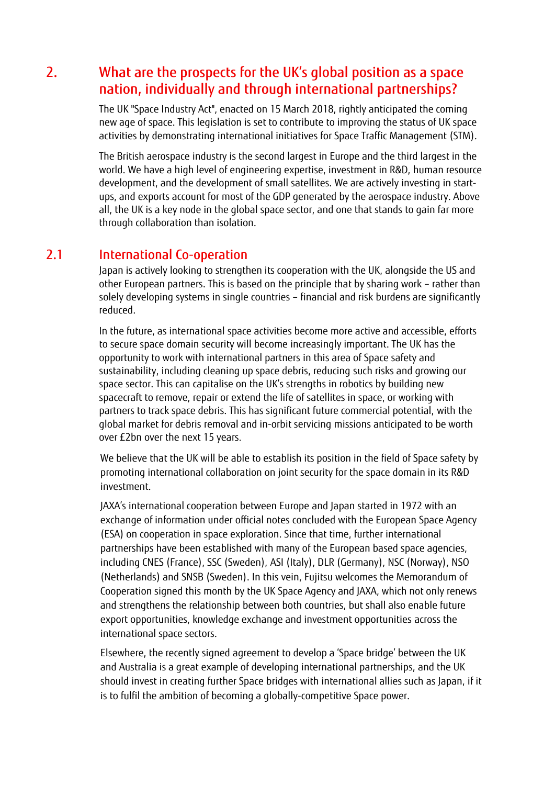## <span id="page-2-0"></span>2. What are the prospects for the UK's global position as a space nation, individually and through international partnerships?

The UK "Space Industry Act", enacted on 15 March 2018, rightly anticipated the coming new age of space. This legislation is set to contribute to improving the status of UK space activities by demonstrating international initiatives for Space Traffic Management (STM).

The British aerospace industry is the second largest in Europe and the third largest in the world. We have a high level of engineering expertise, investment in R&D, human resource development, and the development of small satellites. We are actively investing in startups, and exports account for most of the GDP generated by the aerospace industry. Above all, the UK is a key node in the global space sector, and one that stands to gain far more through collaboration than isolation.

#### 2.1 International Co-operation

Japan is actively looking to strengthen its cooperation with the UK, alongside the US and other European partners. This is based on the principle that by sharing work – rather than solely developing systems in single countries – financial and risk burdens are significantly reduced.

In the future, as international space activities become more active and accessible, efforts to secure space domain security will become increasingly important. The UK has the opportunity to work with international partners in this area of Space safety and sustainability, including cleaning up space debris, reducing such risks and growing our space sector. This can capitalise on the UK's strengths in robotics by building new spacecraft to remove, repair or extend the life of satellites in space, or working with partners to track space debris. This has significant future commercial potential, with the global market for debris removal and in-orbit servicing missions anticipated to be worth over £2bn over the next 15 years.

We believe that the UK will be able to establish its position in the field of Space safety by promoting international collaboration on joint security for the space domain in its R&D investment.

JAXA's international cooperation between Europe and Japan started in 1972 with an exchange of information under official notes concluded with the European Space Agency (ESA) on cooperation in space exploration. Since that time, further international partnerships have been established with many of the European based space agencies, including CNES (France), SSC (Sweden), ASI (Italy), DLR (Germany), NSC (Norway), NSO (Netherlands) and SNSB (Sweden). In this vein, Fujitsu welcomes the Memorandum of Cooperation signed this month by the UK Space Agency and JAXA, which not only renews and strengthens the relationship between both countries, but shall also enable future export opportunities, knowledge exchange and investment opportunities across the international space sectors.

Elsewhere, the recently signed agreement to develop a 'Space bridge' between the UK and Australia is a great example of developing international partnerships, and the UK should invest in creating further Space bridges with international allies such as Japan, if it is to fulfil the ambition of becoming a globally-competitive Space power.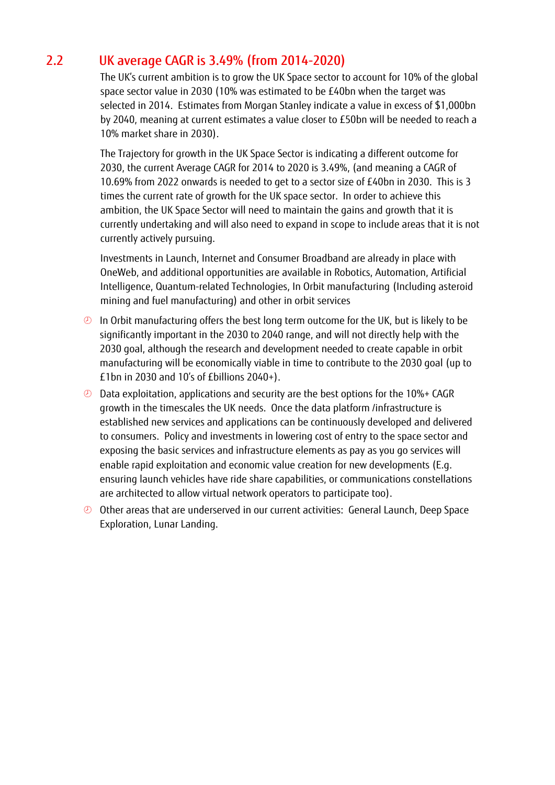## 2.2 UK average CAGR is 3.49% (from 2014-2020)

The UK's current ambition is to grow the UK Space sector to account for 10% of the global space sector value in 2030 (10% was estimated to be £40bn when the target was selected in 2014. Estimates from Morgan Stanley indicate a value in excess of \$1,000bn by 2040, meaning at current estimates a value closer to £50bn will be needed to reach a 10% market share in 2030).

The Trajectory for growth in the UK Space Sector is indicating a different outcome for 2030, the current Average CAGR for 2014 to 2020 is 3.49%, (and meaning a CAGR of 10.69% from 2022 onwards is needed to get to a sector size of £40bn in 2030. This is 3 times the current rate of growth for the UK space sector. In order to achieve this ambition, the UK Space Sector will need to maintain the gains and growth that it is currently undertaking and will also need to expand in scope to include areas that it is not currently actively pursuing.

Investments in Launch, Internet and Consumer Broadband are already in place with OneWeb, and additional opportunities are available in Robotics, Automation, Artificial Intelligence, Quantum-related Technologies, In Orbit manufacturing (Including asteroid mining and fuel manufacturing) and other in orbit services

- $\odot$  In Orbit manufacturing offers the best long term outcome for the UK, but is likely to be significantly important in the 2030 to 2040 range, and will not directly help with the 2030 goal, although the research and development needed to create capable in orbit manufacturing will be economically viable in time to contribute to the 2030 goal (up to £1bn in 2030 and 10's of £billions 2040+).
- Data exploitation, applications and security are the best options for the 10%+ CAGR growth in the timescales the UK needs. Once the data platform /infrastructure is established new services and applications can be continuously developed and delivered to consumers. Policy and investments in lowering cost of entry to the space sector and exposing the basic services and infrastructure elements as pay as you go services will enable rapid exploitation and economic value creation for new developments (E.g. ensuring launch vehicles have ride share capabilities, or communications constellations are architected to allow virtual network operators to participate too).
- Other areas that are underserved in our current activities: General Launch, Deep Space Exploration, Lunar Landing.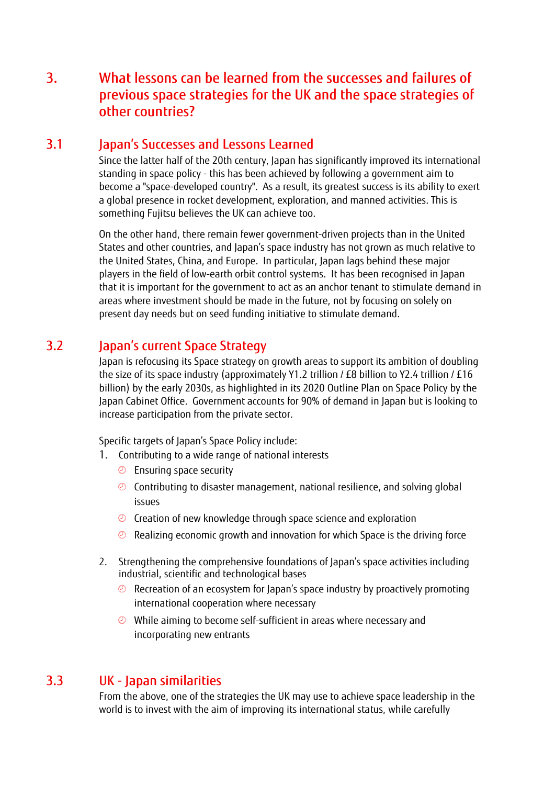## <span id="page-4-0"></span>3. What lessons can be learned from the successes and failures of previous space strategies for the UK and the space strategies of other countries?

### 3.1 Japan's Successes and Lessons Learned

Since the latter half of the 20th century, Japan has significantly improved its international standing in space policy - this has been achieved by following a government aim to become a "space-developed country". As a result, its greatest success is its ability to exert a global presence in rocket development, exploration, and manned activities. This is something Fujitsu believes the UK can achieve too.

On the other hand, there remain fewer government-driven projects than in the United States and other countries, and Japan's space industry has not grown as much relative to the United States, China, and Europe. In particular, Japan lags behind these major players in the field of low-earth orbit control systems. It has been recognised in Japan that it is important for the government to act as an anchor tenant to stimulate demand in areas where investment should be made in the future, not by focusing on solely on present day needs but on seed funding initiative to stimulate demand.

## 3.2 Japan's current Space Strategy

Japan is refocusing its Space strategy on growth areas to support its ambition of doubling the size of its space industry (approximately Y1.2 trillion / £8 billion to Y2.4 trillion / £16 billion) by the early 2030s, as highlighted in its 2020 Outline Plan on Space Policy by the Japan Cabinet Office. Government accounts for 90% of demand in Japan but is looking to increase participation from the private sector.

Specific targets of Japan's Space Policy include:

- 1. Contributing to a wide range of national interests
	- **Ensuring space security**
	- Contributing to disaster management, national resilience, and solving global issues
	- $\circledR$  Creation of new knowledge through space science and exploration
	- <sup>2</sup> Realizing economic growth and innovation for which Space is the driving force
- 2. Strengthening the comprehensive foundations of Japan's space activities including industrial, scientific and technological bases
	- Recreation of an ecosystem for Japan's space industry by proactively promoting international cooperation where necessary
	- While aiming to become self-sufficient in areas where necessary and incorporating new entrants

### 3.3 UK - Japan similarities

From the above, one of the strategies the UK may use to achieve space leadership in the world is to invest with the aim of improving its international status, while carefully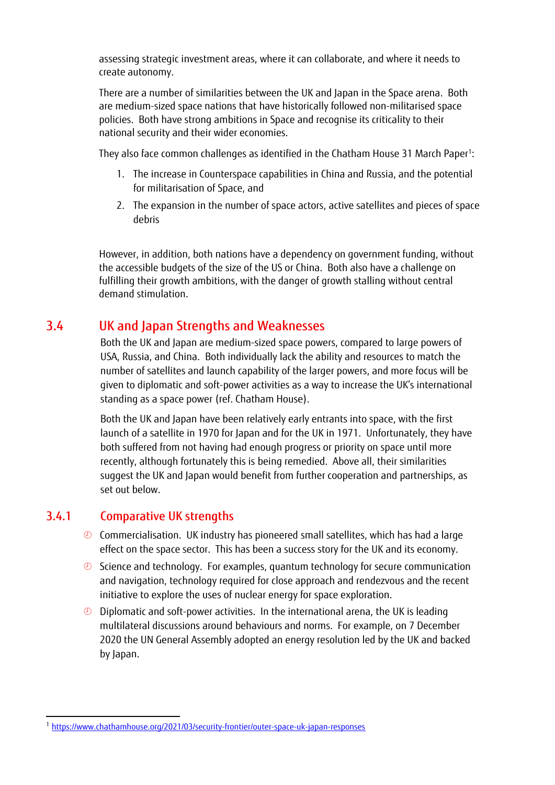assessing strategic investment areas, where it can collaborate, and where it needs to create autonomy.

There are a number of similarities between the UK and Japan in the Space arena. Both are medium-sized space nations that have historically followed non-militarised space policies. Both have strong ambitions in Space and recognise its criticality to their national security and their wider economies.

They also face common challenges as identified in the Chatham House 31 March Paper1:

- 1. The increase in Counterspace capabilities in China and Russia, and the potential for militarisation of Space, and
- 2. The expansion in the number of space actors, active satellites and pieces of space debris

However, in addition, both nations have a dependency on government funding, without the accessible budgets of the size of the US or China. Both also have a challenge on fulfilling their growth ambitions, with the danger of growth stalling without central demand stimulation.

## 3.4 UK and Japan Strengths and Weaknesses

Both the UK and Japan are medium-sized space powers, compared to large powers of USA, Russia, and China. Both individually lack the ability and resources to match the number of satellites and launch capability of the larger powers, and more focus will be given to diplomatic and soft-power activities as a way to increase the UK's international standing as a space power (ref. Chatham House).

Both the UK and Japan have been relatively early entrants into space, with the first launch of a satellite in 1970 for Japan and for the UK in 1971. Unfortunately, they have both suffered from not having had enough progress or priority on space until more recently, although fortunately this is being remedied. Above all, their similarities suggest the UK and Japan would benefit from further cooperation and partnerships, as set out below.

#### 3.4.1 Comparative UK strengths

- $\odot$  Commercialisation. UK industry has pioneered small satellites, which has had a large effect on the space sector. This has been a success story for the UK and its economy.
- $\odot$  Science and technology. For examples, quantum technology for secure communication and navigation, technology required for close approach and rendezvous and the recent initiative to explore the uses of nuclear energy for space exploration.
- $\odot$  Diplomatic and soft-power activities. In the international arena, the UK is leading multilateral discussions around behaviours and norms. For example, on 7 December 2020 the UN General Assembly adopted an energy resolution led by the UK and backed by Japan.

<sup>1</sup> <https://www.chathamhouse.org/2021/03/security-frontier/outer-space-uk-japan-responses>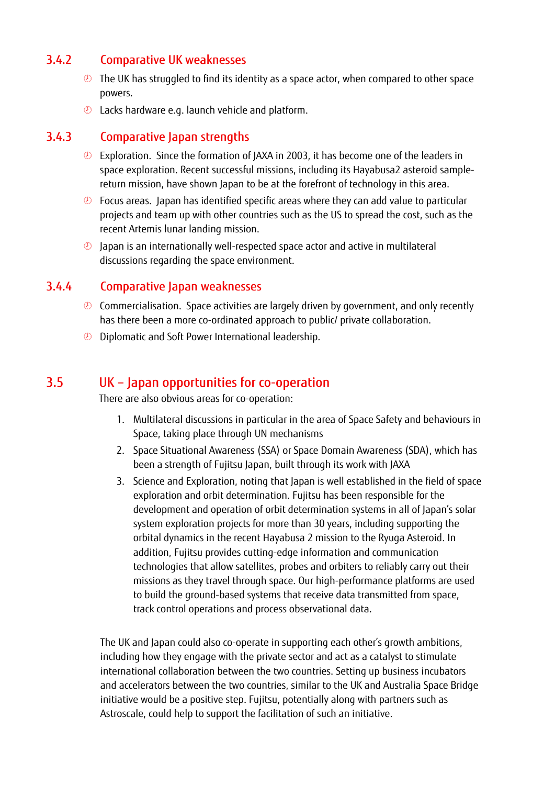#### 3.4.2 Comparative UK weaknesses

- **The UK has struggled to find its identity as a space actor, when compared to other space** powers.
- <sup>2</sup> Lacks hardware e.g. launch vehicle and platform.

#### 3.4.3 Comparative Japan strengths

- **Exploration.** Since the formation of JAXA in 2003, it has become one of the leaders in space exploration. Recent successful missions, including its Hayabusa2 asteroid samplereturn mission, have shown Japan to be at the forefront of technology in this area.
- *C* Focus areas. Japan has identified specific areas where they can add value to particular projects and team up with other countries such as the US to spread the cost, such as the recent Artemis lunar landing mission.
- $\odot$  Japan is an internationally well-respected space actor and active in multilateral discussions regarding the space environment.

#### 3.4.4 Comparative Japan weaknesses

- <sup>2</sup> Commercialisation. Space activities are largely driven by government, and only recently has there been a more co-ordinated approach to public/ private collaboration.
- **D** Diplomatic and Soft Power International leadership.

### 3.5 UK – Japan opportunities for co-operation

There are also obvious areas for co-operation:

- 1. Multilateral discussions in particular in the area of Space Safety and behaviours in Space, taking place through UN mechanisms
- 2. Space Situational Awareness (SSA) or Space Domain Awareness (SDA), which has been a strength of Fujitsu Japan, built through its work with JAXA
- 3. Science and Exploration, noting that Japan is well established in the field of space exploration and orbit determination. Fujitsu has been responsible for the development and operation of orbit determination systems in all of Japan's solar system exploration projects for more than 30 years, including supporting the orbital dynamics in the recent Hayabusa 2 mission to the Ryuga Asteroid. In addition, Fujitsu provides cutting-edge information and communication technologies that allow satellites, probes and orbiters to reliably carry out their missions as they travel through space. Our high-performance platforms are used to build the ground-based systems that receive data transmitted from space, track control operations and process observational data.

The UK and Japan could also co-operate in supporting each other's growth ambitions, including how they engage with the private sector and act as a catalyst to stimulate international collaboration between the two countries. Setting up business incubators and accelerators between the two countries, similar to the UK and Australia Space Bridge initiative would be a positive step. Fujitsu, potentially along with partners such as Astroscale, could help to support the facilitation of such an initiative.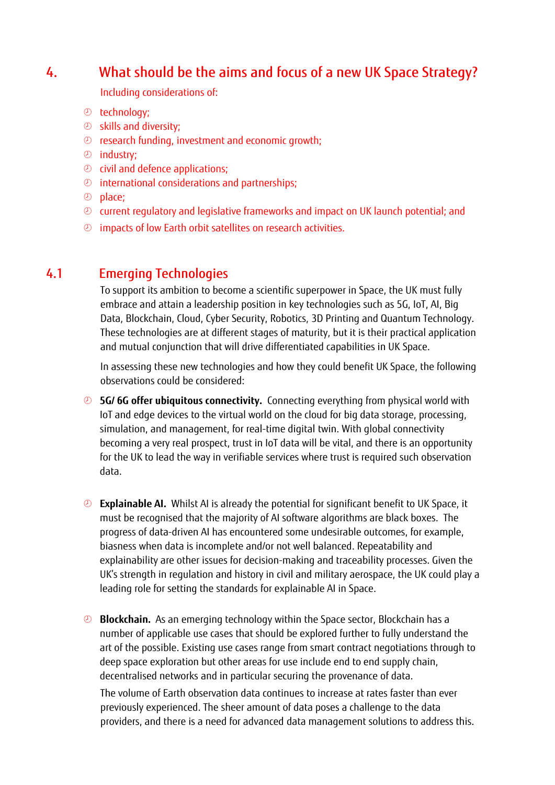## <span id="page-7-0"></span>4. What should be the aims and focus of a new UK Space Strategy?

Including considerations of:

- technology;
- skills and diversity;
- research funding, investment and economic growth;
- $\circledcirc$  industry:
- $\odot$  civil and defence applications;
- international considerations and partnerships;
- place;
- current regulatory and legislative frameworks and impact on UK launch potential; and
- $\circledcirc$  impacts of low Earth orbit satellites on research activities.

## 4.1 Emerging Technologies

To support its ambition to become a scientific superpower in Space, the UK must fully embrace and attain a leadership position in key technologies such as 5G, IoT, AI, Big Data, Blockchain, Cloud, Cyber Security, Robotics, 3D Printing and Quantum Technology. These technologies are at different stages of maturity, but it is their practical application and mutual conjunction that will drive differentiated capabilities in UK Space.

In assessing these new technologies and how they could benefit UK Space, the following observations could be considered:

- **5G/ 6G offer ubiquitous connectivity.** Connecting everything from physical world with IoT and edge devices to the virtual world on the cloud for big data storage, processing, simulation, and management, for real-time digital twin. With global connectivity becoming a very real prospect, trust in IoT data will be vital, and there is an opportunity for the UK to lead the way in verifiable services where trust is required such observation data.
- **Explainable AI.** Whilst AI is already the potential for significant benefit to UK Space, it must be recognised that the majority of AI software algorithms are black boxes. The progress of data-driven AI has encountered some undesirable outcomes, for example, biasness when data is incomplete and/or not well balanced. Repeatability and explainability are other issues for decision-making and traceability processes. Given the UK's strength in regulation and history in civil and military aerospace, the UK could play a leading role for setting the standards for explainable AI in Space.
- **Blockchain.** As an emerging technology within the Space sector, Blockchain has a number of applicable use cases that should be explored further to fully understand the art of the possible. Existing use cases range from smart contract negotiations through to deep space exploration but other areas for use include end to end supply chain, decentralised networks and in particular securing the provenance of data.

The volume of Earth observation data continues to increase at rates faster than ever previously experienced. The sheer amount of data poses a challenge to the data providers, and there is a need for advanced data management solutions to address this.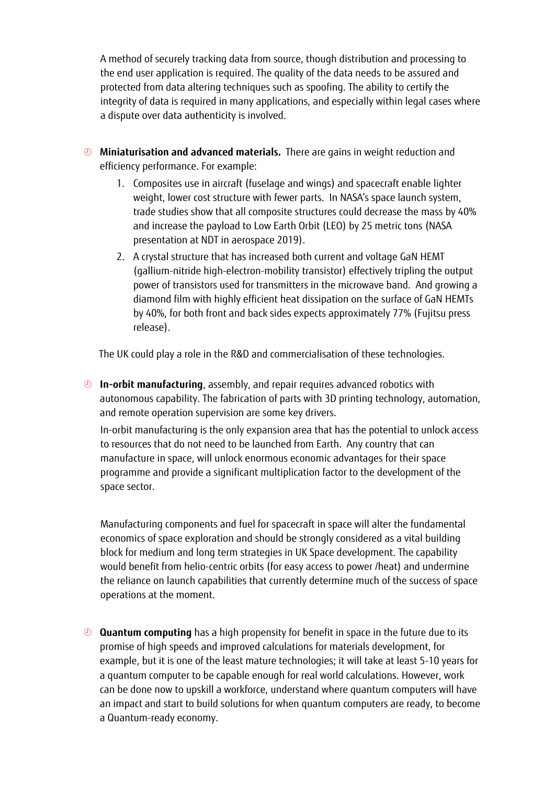A method of securely tracking data from source, though distribution and processing to the end user application is required. The quality of the data needs to be assured and protected from data altering techniques such as spoofing. The ability to certify the integrity of data is required in many applications, and especially within legal cases where a dispute over data authenticity is involved.

- **Miniaturisation and advanced materials.** There are gains in weight reduction and efficiency performance. For example:
	- 1. Composites use in aircraft (fuselage and wings) and spacecraft enable lighter weight, lower cost structure with fewer parts. In NASA's space launch system, trade studies show that all composite structures could decrease the mass by 40% and increase the payload to Low Earth Orbit (LEO) by 25 metric tons (NASA presentation at NDT in aerospace 2019).
	- 2. A crystal structure that has increased both current and voltage GaN HEMT (gallium-nitride high-electron-mobility transistor) effectively tripling the output power of transistors used for transmitters in the microwave band. And growing a diamond film with highly efficient heat dissipation on the surface of GaN HEMTs by 40%, for both front and back sides expects approximately 77% (Fujitsu press release).

The UK could play a role in the R&D and commercialisation of these technologies.

 **In-orbit manufacturing**, assembly, and repair requires advanced robotics with autonomous capability. The fabrication of parts with 3D printing technology, automation, and remote operation supervision are some key drivers.

In-orbit manufacturing is the only expansion area that has the potential to unlock access to resources that do not need to be launched from Earth. Any country that can manufacture in space, will unlock enormous economic advantages for their space programme and provide a significant multiplication factor to the development of the space sector.

Manufacturing components and fuel for spacecraft in space will alter the fundamental economics of space exploration and should be strongly considered as a vital building block for medium and long term strategies in UK Space development. The capability would benefit from helio-centric orbits (for easy access to power /heat) and undermine the reliance on launch capabilities that currently determine much of the success of space operations at the moment.

 **Quantum computing** has a high propensity for benefit in space in the future due to its promise of high speeds and improved calculations for materials development, for example, but it is one of the least mature technologies; it will take at least 5-10 years for a quantum computer to be capable enough for real world calculations. However, work can be done now to upskill a workforce, understand where quantum computers will have an impact and start to build solutions for when quantum computers are ready, to become a Quantum-ready economy.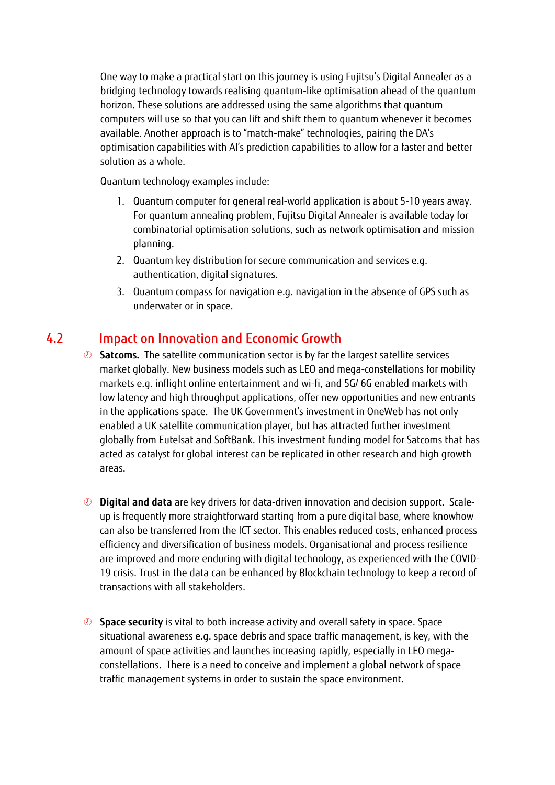One way to make a practical start on this journey is using Fujitsu's Digital Annealer as a bridging technology towards realising quantum-like optimisation ahead of the quantum horizon. These solutions are addressed using the same algorithms that quantum computers will use so that you can lift and shift them to quantum whenever it becomes available. Another approach is to "match-make" technologies, pairing the DA's optimisation capabilities with AI's prediction capabilities to allow for a faster and better solution as a whole.

Quantum technology examples include:

- 1. Quantum computer for general real-world application is about 5-10 years away. For quantum annealing problem, Fujitsu Digital Annealer is available today for combinatorial optimisation solutions, such as network optimisation and mission planning.
- 2. Quantum key distribution for secure communication and services e.g. authentication, digital signatures.
- 3. Quantum compass for navigation e.g. navigation in the absence of GPS such as underwater or in space.

## <span id="page-9-0"></span>4.2 Impact on Innovation and Economic Growth

- **Satcoms.** The satellite communication sector is by far the largest satellite services market globally. New business models such as LEO and mega-constellations for mobility markets e.g. inflight online entertainment and wi-fi, and 5G/ 6G enabled markets with low latency and high throughput applications, offer new opportunities and new entrants in the applications space. The UK Government's investment in OneWeb has not only enabled a UK satellite communication player, but has attracted further investment globally from Eutelsat and SoftBank. This investment funding model for Satcoms that has acted as catalyst for global interest can be replicated in other research and high growth areas.
- **Digital and data** are key drivers for data-driven innovation and decision support. Scaleup is frequently more straightforward starting from a pure digital base, where knowhow can also be transferred from the ICT sector. This enables reduced costs, enhanced process efficiency and diversification of business models. Organisational and process resilience are improved and more enduring with digital technology, as experienced with the COVID-19 crisis. Trust in the data can be enhanced by Blockchain technology to keep a record of transactions with all stakeholders.
- **Space security** is vital to both increase activity and overall safety in space. Space situational awareness e.g. space debris and space traffic management, is key, with the amount of space activities and launches increasing rapidly, especially in LEO megaconstellations. There is a need to conceive and implement a global network of space traffic management systems in order to sustain the space environment.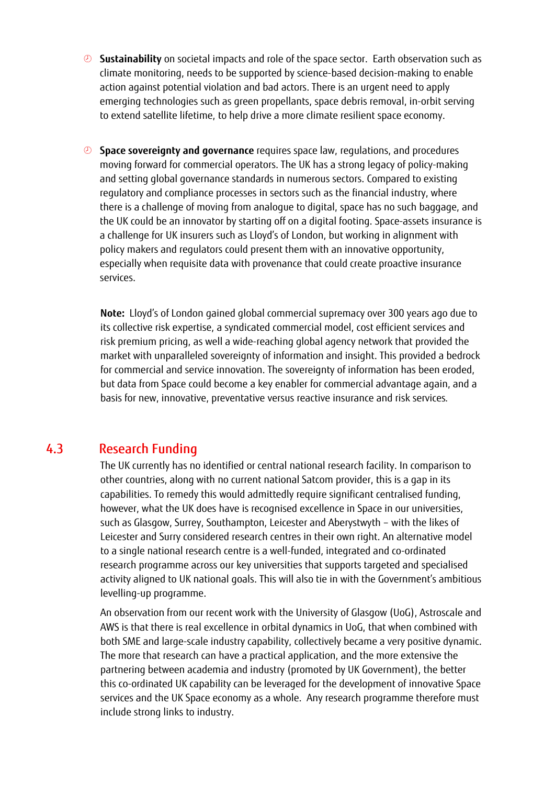- **Sustainability** on societal impacts and role of the space sector. Earth observation such as climate monitoring, needs to be supported by science-based decision-making to enable action against potential violation and bad actors. There is an urgent need to apply emerging technologies such as green propellants, space debris removal, in-orbit serving to extend satellite lifetime, to help drive a more climate resilient space economy.
- **Space sovereignty and governance** requires space law, regulations, and procedures moving forward for commercial operators. The UK has a strong legacy of policy-making and setting global governance standards in numerous sectors. Compared to existing regulatory and compliance processes in sectors such as the financial industry, where there is a challenge of moving from analogue to digital, space has no such baggage, and the UK could be an innovator by starting off on a digital footing. Space-assets insurance is a challenge for UK insurers such as Lloyd's of London, but working in alignment with policy makers and regulators could present them with an innovative opportunity, especially when requisite data with provenance that could create proactive insurance services.

**Note:** Lloyd's of London gained global commercial supremacy over 300 years ago due to its collective risk expertise, a syndicated commercial model, cost efficient services and risk premium pricing, as well a wide-reaching global agency network that provided the market with unparalleled sovereignty of information and insight. This provided a bedrock for commercial and service innovation. The sovereignty of information has been eroded, but data from Space could become a key enabler for commercial advantage again, and a basis for new, innovative, preventative versus reactive insurance and risk services*.*

## 4.3 Research Funding

The UK currently has no identified or central national research facility. In comparison to other countries, along with no current national Satcom provider, this is a gap in its capabilities. To remedy this would admittedly require significant centralised funding, however, what the UK does have is recognised excellence in Space in our universities, such as Glasgow, Surrey, Southampton, Leicester and Aberystwyth – with the likes of Leicester and Surry considered research centres in their own right. An alternative model to a single national research centre is a well-funded, integrated and co-ordinated research programme across our key universities that supports targeted and specialised activity aligned to UK national goals. This will also tie in with the Government's ambitious levelling-up programme.

An observation from our recent work with the University of Glasgow (UoG), Astroscale and AWS is that there is real excellence in orbital dynamics in UoG, that when combined with both SME and large-scale industry capability, collectively became a very positive dynamic. The more that research can have a practical application, and the more extensive the partnering between academia and industry (promoted by UK Government), the better this co-ordinated UK capability can be leveraged for the development of innovative Space services and the UK Space economy as a whole. Any research programme therefore must include strong links to industry.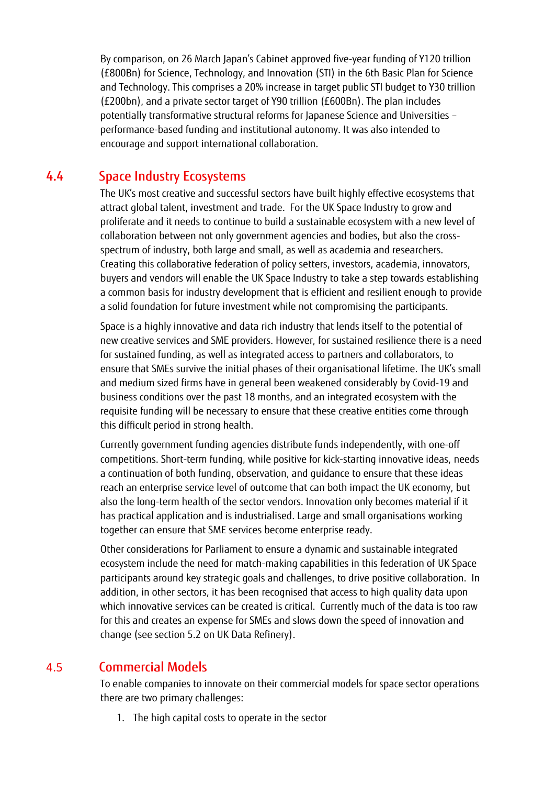By comparison, on 26 March Japan's Cabinet approved five-year funding of Y120 trillion (£800Bn) for Science, Technology, and Innovation (STI) in the 6th Basic Plan for Science and Technology. This comprises a 20% increase in target public STI budget to Y30 trillion (£200bn), and a private sector target of Y90 trillion (£600Bn). The plan includes potentially transformative structural reforms for Japanese Science and Universities – performance-based funding and institutional autonomy. It was also intended to encourage and support international collaboration.

### 4.4 Space Industry Ecosystems

The UK's most creative and successful sectors have built highly effective ecosystems that attract global talent, investment and trade. For the UK Space Industry to grow and proliferate and it needs to continue to build a sustainable ecosystem with a new level of collaboration between not only government agencies and bodies, but also the crossspectrum of industry, both large and small, as well as academia and researchers. Creating this collaborative federation of policy setters, investors, academia, innovators, buyers and vendors will enable the UK Space Industry to take a step towards establishing a common basis for industry development that is efficient and resilient enough to provide a solid foundation for future investment while not compromising the participants.

Space is a highly innovative and data rich industry that lends itself to the potential of new creative services and SME providers. However, for sustained resilience there is a need for sustained funding, as well as integrated access to partners and collaborators, to ensure that SMEs survive the initial phases of their organisational lifetime. The UK's small and medium sized firms have in general been weakened considerably by Covid-19 and business conditions over the past 18 months, and an integrated ecosystem with the requisite funding will be necessary to ensure that these creative entities come through this difficult period in strong health.

Currently government funding agencies distribute funds independently, with one-off competitions. Short-term funding, while positive for kick-starting innovative ideas, needs a continuation of both funding, observation, and guidance to ensure that these ideas reach an enterprise service level of outcome that can both impact the UK economy, but also the long-term health of the sector vendors. Innovation only becomes material if it has practical application and is industrialised. Large and small organisations working together can ensure that SME services become enterprise ready.

Other considerations for Parliament to ensure a dynamic and sustainable integrated ecosystem include the need for match-making capabilities in this federation of UK Space participants around key strategic goals and challenges, to drive positive collaboration. In addition, in other sectors, it has been recognised that access to high quality data upon which innovative services can be created is critical. Currently much of the data is too raw for this and creates an expense for SMEs and slows down the speed of innovation and change (see section [5.2](#page-13-1) on UK Data Refinery).

### 4.5 Commercial Models

To enable companies to innovate on their commercial models for space sector operations there are two primary challenges:

1. The high capital costs to operate in the sector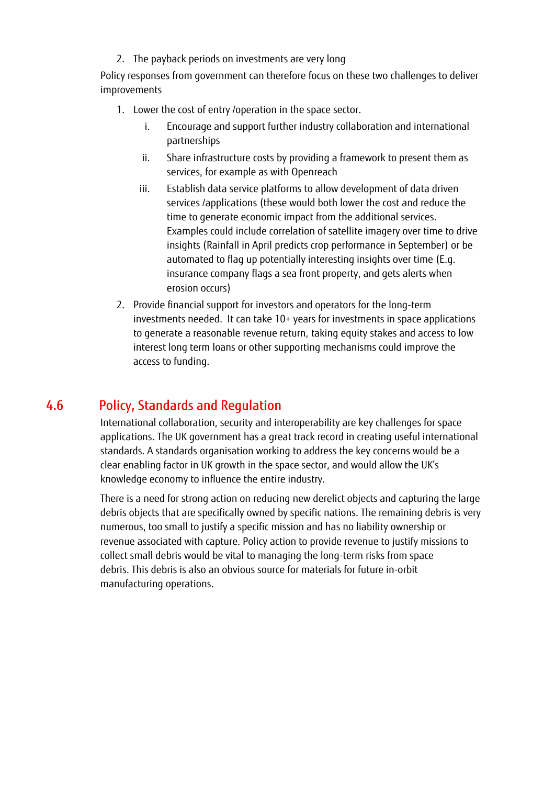2. The payback periods on investments are very long

Policy responses from government can therefore focus on these two challenges to deliver improvements

- 1. Lower the cost of entry /operation in the space sector.
	- i. Encourage and support further industry collaboration and international partnerships
	- ii. Share infrastructure costs by providing a framework to present them as services, for example as with Openreach
	- iii. Establish data service platforms to allow development of data driven services /applications (these would both lower the cost and reduce the time to generate economic impact from the additional services. Examples could include correlation of satellite imagery over time to drive insights (Rainfall in April predicts crop performance in September) or be automated to flag up potentially interesting insights over time (E.g. insurance company flags a sea front property, and gets alerts when erosion occurs)
- 2. Provide financial support for investors and operators for the long-term investments needed. It can take 10+ years for investments in space applications to generate a reasonable revenue return, taking equity stakes and access to low interest long term loans or other supporting mechanisms could improve the access to funding.

### 4.6 Policy, Standards and Regulation

International collaboration, security and interoperability are key challenges for space applications. The UK government has a great track record in creating useful international standards. A standards organisation working to address the key concerns would be a clear enabling factor in UK growth in the space sector, and would allow the UK's knowledge economy to influence the entire industry.

There is a need for strong action on reducing new derelict objects and capturing the large debris objects that are specifically owned by specific nations. The remaining debris is very numerous, too small to justify a specific mission and has no liability ownership or revenue associated with capture. Policy action to provide revenue to justify missions to collect small debris would be vital to managing the long-term risks from space debris. This debris is also an obvious source for materials for future in-orbit manufacturing operations.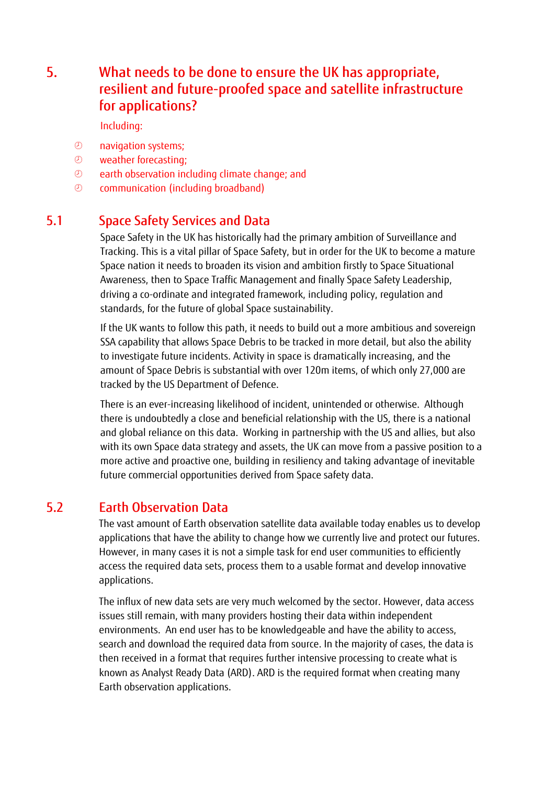## <span id="page-13-0"></span>5. What needs to be done to ensure the UK has appropriate, resilient and future-proofed space and satellite infrastructure for applications?

Including:

- navigation systems;
- weather forecasting;
- **2** earth observation including climate change; and
- communication (including broadband)

## 5.1 Space Safety Services and Data

Space Safety in the UK has historically had the primary ambition of Surveillance and Tracking. This is a vital pillar of Space Safety, but in order for the UK to become a mature Space nation it needs to broaden its vision and ambition firstly to Space Situational Awareness, then to Space Traffic Management and finally Space Safety Leadership, driving a co-ordinate and integrated framework, including policy, regulation and standards, for the future of global Space sustainability.

If the UK wants to follow this path, it needs to build out a more ambitious and sovereign SSA capability that allows Space Debris to be tracked in more detail, but also the ability to investigate future incidents. Activity in space is dramatically increasing, and the amount of Space Debris is substantial with over 120m items, of which only 27,000 are tracked by the US Department of Defence.

There is an ever-increasing likelihood of incident, unintended or otherwise. Although there is undoubtedly a close and beneficial relationship with the US, there is a national and global reliance on this data. Working in partnership with the US and allies, but also with its own Space data strategy and assets, the UK can move from a passive position to a more active and proactive one, building in resiliency and taking advantage of inevitable future commercial opportunities derived from Space safety data.

### <span id="page-13-1"></span>5.2 Earth Observation Data

The vast amount of Earth observation satellite data available today enables us to develop applications that have the ability to change how we currently live and protect our futures. However, in many cases it is not a simple task for end user communities to efficiently access the required data sets, process them to a usable format and develop innovative applications.

The influx of new data sets are very much welcomed by the sector. However, data access issues still remain, with many providers hosting their data within independent environments. An end user has to be knowledgeable and have the ability to access, search and download the required data from source. In the majority of cases, the data is then received in a format that requires further intensive processing to create what is known as Analyst Ready Data (ARD). ARD is the required format when creating many Earth observation applications.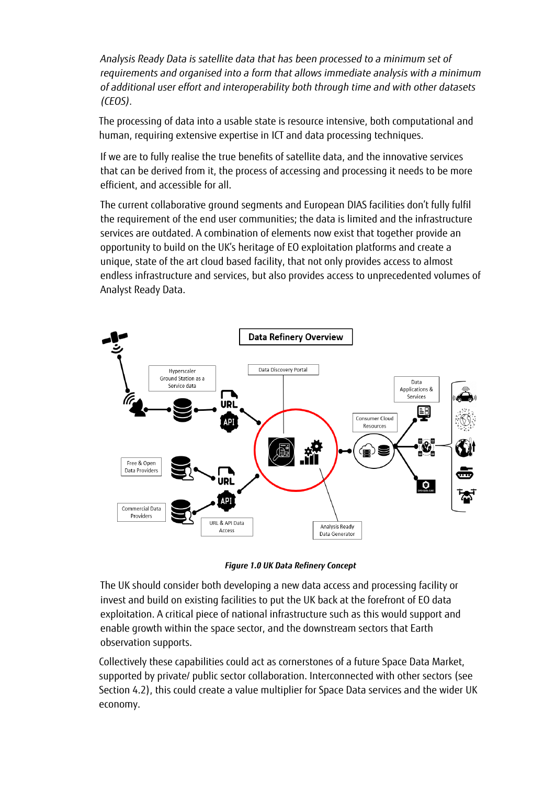*Analysis Ready Data is satellite data that has been processed to a minimum set of requirements and organised into a form that allows immediate analysis with a minimum of additional user effort and interoperability both through time and with other datasets (CEOS).*

The processing of data into a usable state is resource intensive, both computational and human, requiring extensive expertise in ICT and data processing techniques.

If we are to fully realise the true benefits of satellite data, and the innovative services that can be derived from it, the process of accessing and processing it needs to be more efficient, and accessible for all.

The current collaborative ground segments and European DIAS facilities don't fully fulfil the requirement of the end user communities; the data is limited and the infrastructure services are outdated. A combination of elements now exist that together provide an opportunity to build on the UK's heritage of EO exploitation platforms and create a unique, state of the art cloud based facility, that not only provides access to almost endless infrastructure and services, but also provides access to unprecedented volumes of Analyst Ready Data.



*Figure 1.0 UK Data Refinery Concept*

The UK should consider both developing a new data access and processing facility or invest and build on existing facilities to put the UK back at the forefront of EO data exploitation. A critical piece of national infrastructure such as this would support and enable growth within the space sector, and the downstream sectors that Earth observation supports.

Collectively these capabilities could act as cornerstones of a future Space Data Market, supported by private/ public sector collaboration. Interconnected with other sectors (see Section [4.2\)](#page-9-0), this could create a value multiplier for Space Data services and the wider UK economy.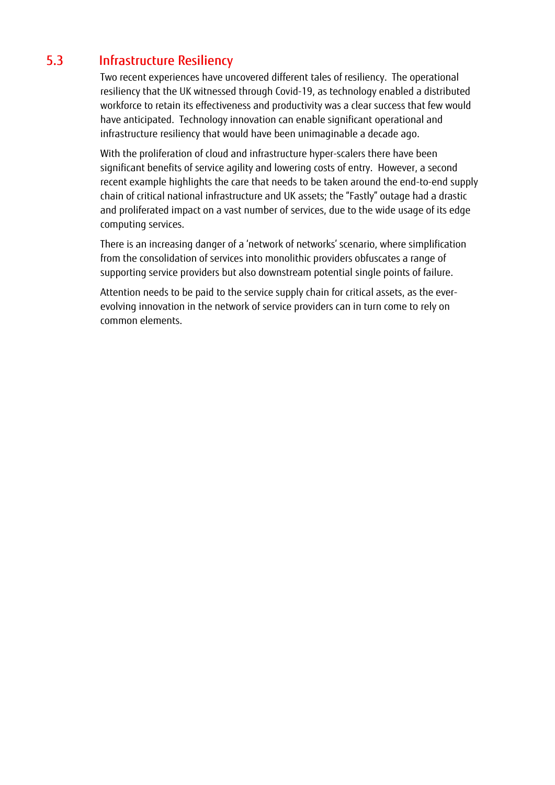## 5.3 Infrastructure Resiliency

Two recent experiences have uncovered different tales of resiliency. The operational resiliency that the UK witnessed through Covid-19, as technology enabled a distributed workforce to retain its effectiveness and productivity was a clear success that few would have anticipated. Technology innovation can enable significant operational and infrastructure resiliency that would have been unimaginable a decade ago.

With the proliferation of cloud and infrastructure hyper-scalers there have been significant benefits of service agility and lowering costs of entry. However, a second recent example highlights the care that needs to be taken around the end-to-end supply chain of critical national infrastructure and UK assets; the "Fastly" outage had a drastic and proliferated impact on a vast number of services, due to the wide usage of its edge computing services.

There is an increasing danger of a 'network of networks' scenario, where simplification from the consolidation of services into monolithic providers obfuscates a range of supporting service providers but also downstream potential single points of failure.

Attention needs to be paid to the service supply chain for critical assets, as the everevolving innovation in the network of service providers can in turn come to rely on common elements.